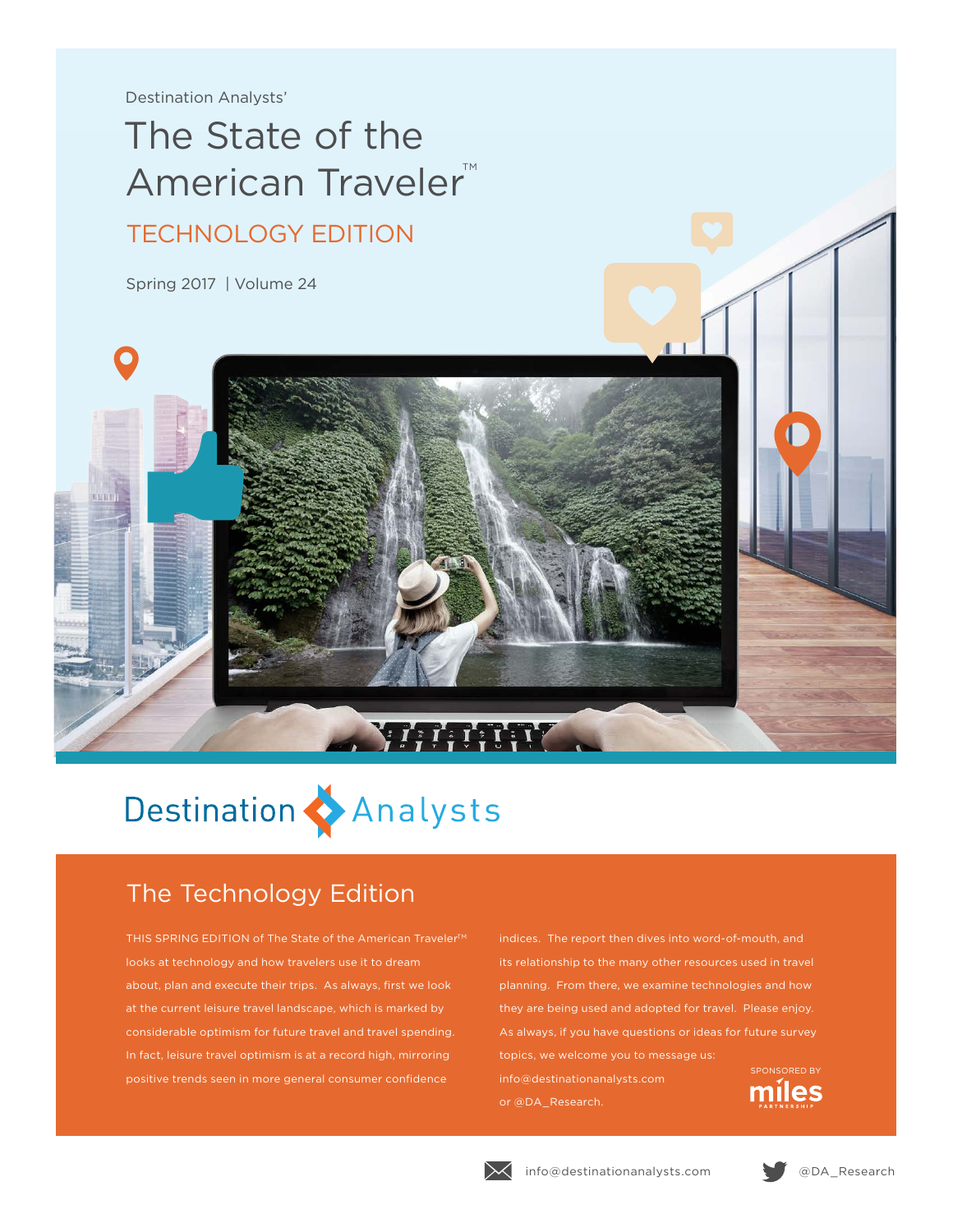Destination Analysts'

## The State of the American Traveler™ TECHNOLOGY EDITION

Spring 2017 | Volume 24



## The Technology Edition

THIS SPRING EDITION of The State of the American Traveler<sup>™</sup> looks at technology and how travelers use it to dream about, plan and execute their trips. As always, first we look at the current leisure travel landscape, which is marked by considerable optimism for future travel and travel spending. In fact, leisure travel optimism is at a record high, mirroring positive trends seen in more general consumer confidence

planning. From there, we examine technologies and how they are being used and adopted for travel. Please enjoy. topics, we welcome you to message us: SPONSORED BYinfo@destinationanalysts.com miles or @DA\_Research.





 $\begin{array}{c} \begin{array}{c} \text{ }\\ \text{ }\\ \text{ }\\ \text{ }\\ \end{array} \end{array} \begin{array}{c} \begin{array}{c} \text{ }\\ \text{ }\\ \text{ }\\ \text{ }\\ \text{ }\\ \text{ }\\ \end{array} \end{array} \begin{array}{c} \begin{array}{c} \text{ }\\ \text{ }\\ \text{ }\\ \text{ }\\ \text{ }\\ \text{ }\\ \end{array} \end{array} \begin{array}{c} \begin{array}{c} \text{ }\\ \text{ }\\ \text{ }\\ \text{ }\\ \text{ }\\ \text{ }\\ \end{array}$ 

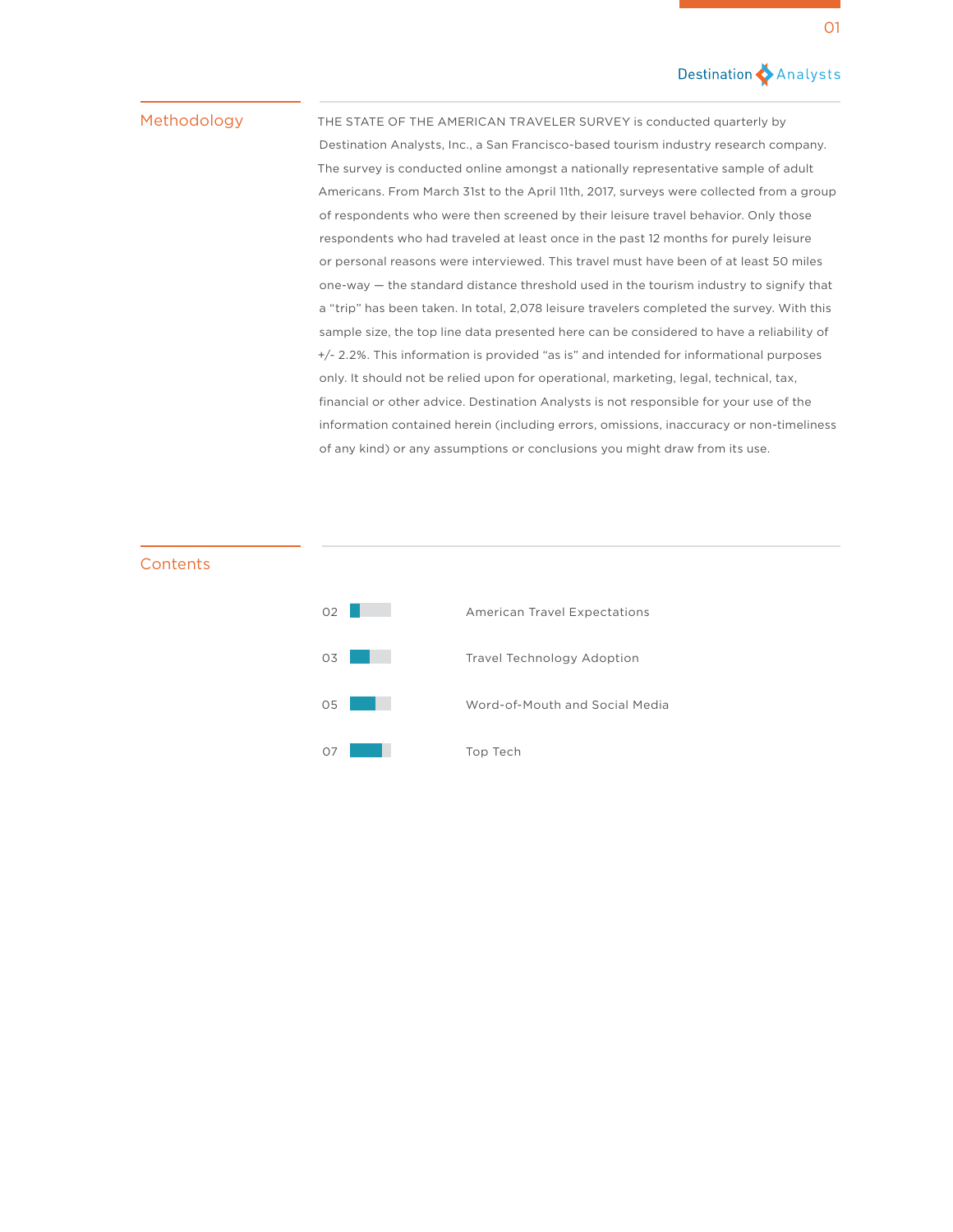### Destination Analysts

### Methodology

THE STATE OF THE AMERICAN TRAVELER SURVEY is conducted quarterly by Destination Analysts, Inc., a San Francisco-based tourism industry research company. The survey is conducted online amongst a nationally representative sample of adult Americans. From March 31st to the April 11th, 2017, surveys were collected from a group of respondents who were then screened by their leisure travel behavior. Only those respondents who had traveled at least once in the past 12 months for purely leisure or personal reasons were interviewed. This travel must have been of at least 50 miles one-way — the standard distance threshold used in the tourism industry to signify that a "trip" has been taken. In total, 2,078 leisure travelers completed the survey. With this sample size, the top line data presented here can be considered to have a reliability of +/- 2.2%. This information is provided "as is" and intended for informational purposes only. It should not be relied upon for operational, marketing, legal, technical, tax, financial or other advice. Destination Analysts is not responsible for your use of the information contained herein (including errors, omissions, inaccuracy or non-timeliness of any kind) or any assumptions or conclusions you might draw from its use.

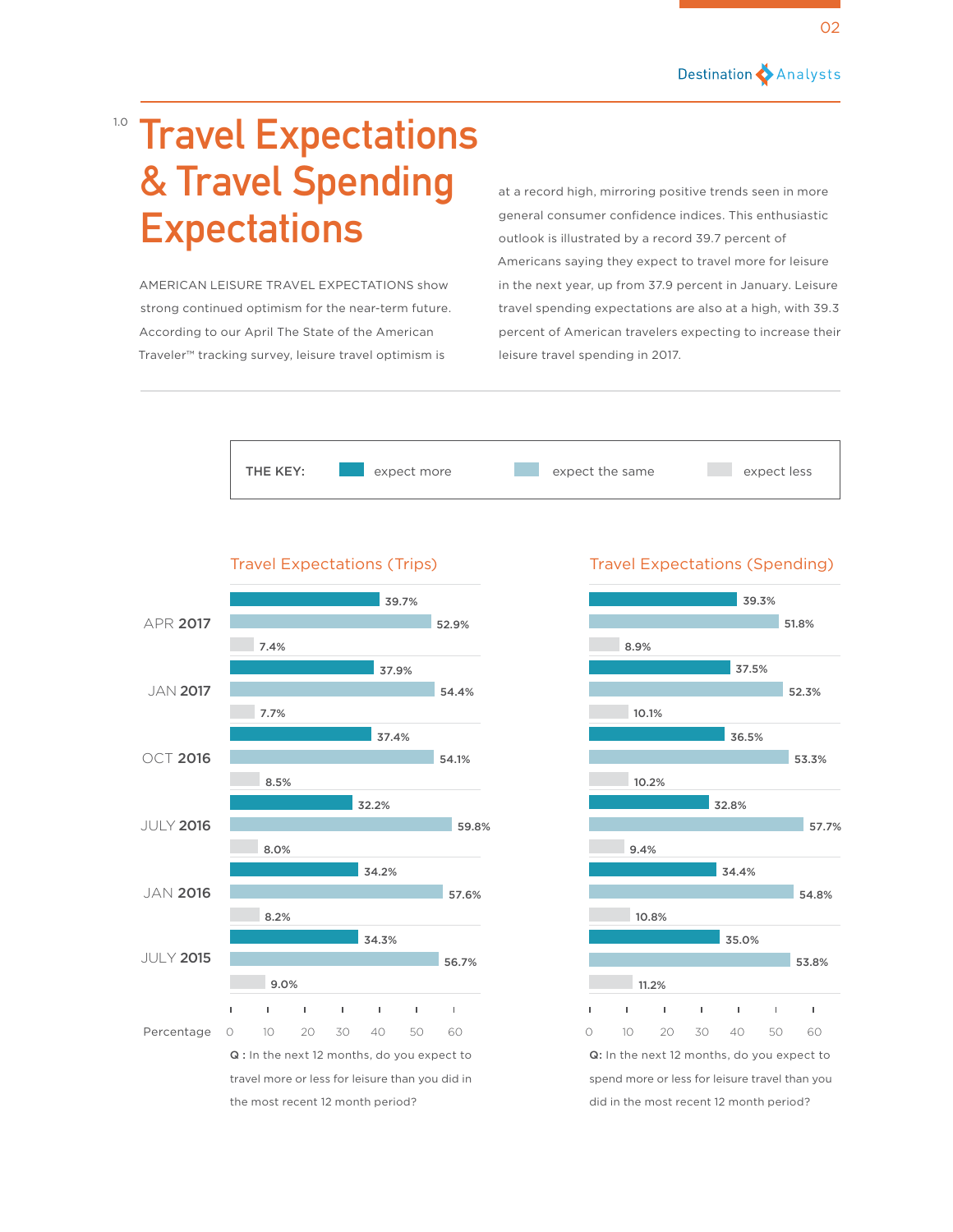

## 1.0 **Travel Expectations & Travel Spending Expectations**

AMERICAN LEISURE TRAVEL EXPECTATIONS show strong continued optimism for the near-term future. According to our April The State of the American Traveler™ tracking survey, leisure travel optimism is

at a record high, mirroring positive trends seen in more general consumer confidence indices. This enthusiastic outlook is illustrated by a record 39.7 percent of Americans saying they expect to travel more for leisure in the next year, up from 37.9 percent in January. Leisure travel spending expectations are also at a high, with 39.3 percent of American travelers expecting to increase their leisure travel spending in 2017.







### Travel Expectations (Trips) Travel Expectations (Spending)

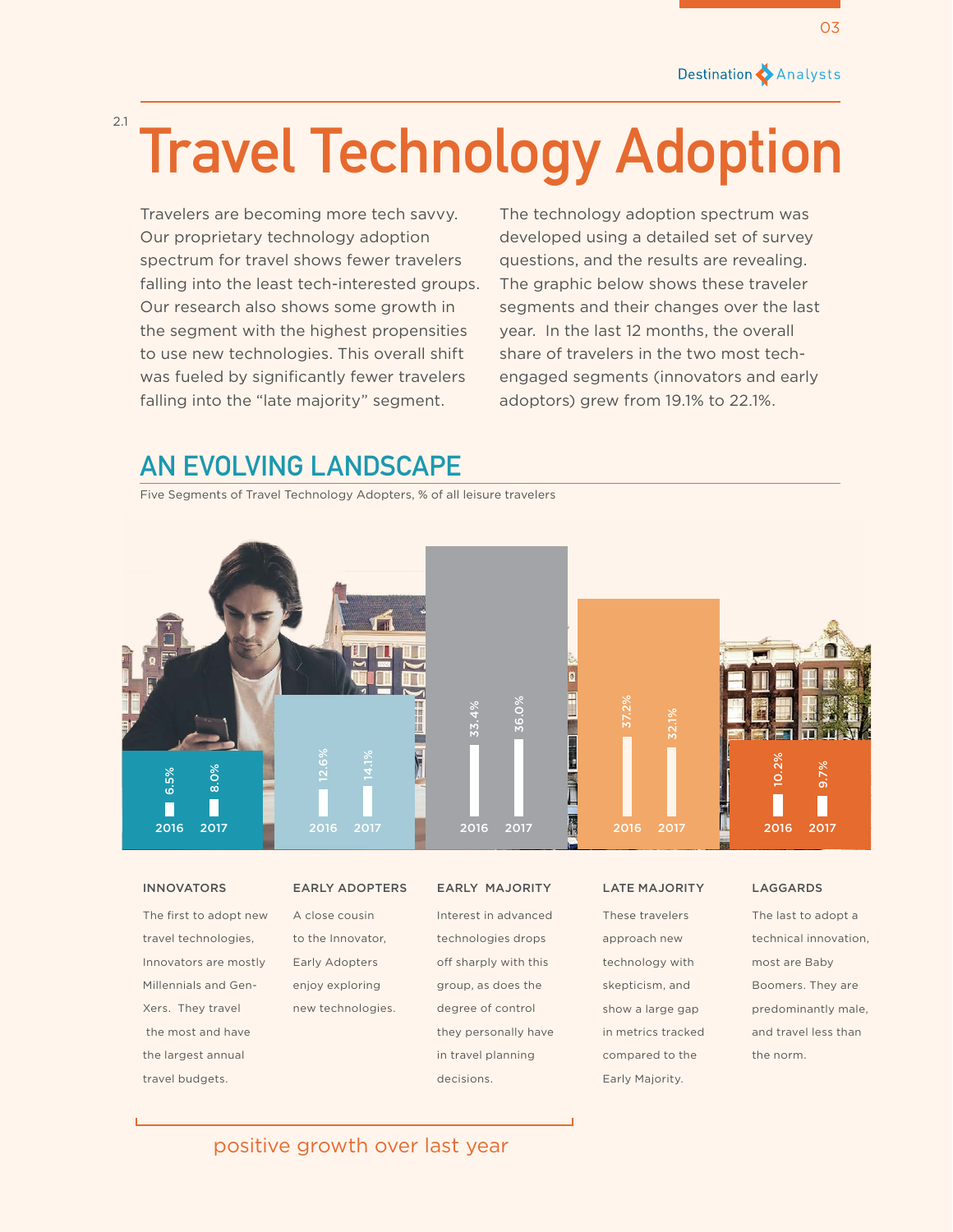## **Travel Technology Adoption** 2.1

Travelers are becoming more tech savvy. Our proprietary technology adoption spectrum for travel shows fewer travelers falling into the least tech-interested groups. Our research also shows some growth in the segment with the highest propensities to use new technologies. This overall shift was fueled by significantly fewer travelers falling into the "late majority" segment.

The technology adoption spectrum was developed using a detailed set of survey questions, and the results are revealing. The graphic below shows these traveler segments and their changes over the last year. In the last 12 months, the overall share of travelers in the two most techengaged segments (innovators and early adoptors) grew from 19.1% to 22.1%.

## **AN EVOLVING LANDSCAPE**

Five Segments of Travel Technology Adopters, % of all leisure travelers



The first to adopt new travel technologies, Innovators are mostly Millennials and Gen-Xers. They travel the most and have the largest annual travel budgets.

### INNOVATORS EARLY ADOPTERS EARLY MAJORITY LATE MAJORITY LAGGARDS

A close cousin to the Innovator, Early Adopters enjoy exploring new technologies.

Interest in advanced technologies drops off sharply with this group, as does the degree of control they personally have in travel planning decisions.

These travelers approach new technology with skepticism, and show a large gap in metrics tracked compared to the Early Majority.

The last to adopt a technical innovation, most are Baby Boomers. They are predominantly male, and travel less than the norm.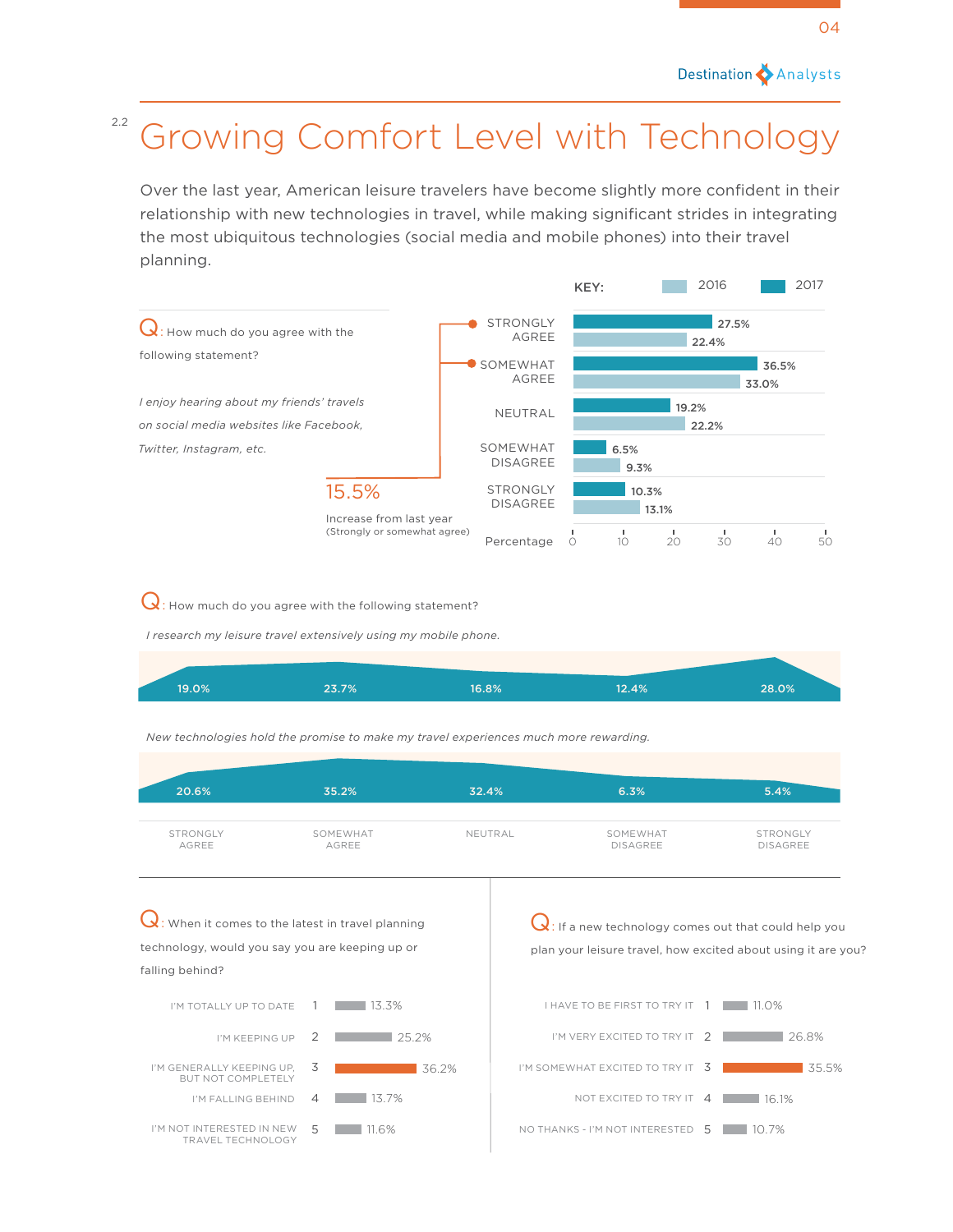## <sup>2.2</sup> Growing Comfort Level with Technology

Over the last year, American leisure travelers have become slightly more confident in their relationship with new technologies in travel, while making significant strides in integrating the most ubiquitous technologies (social media and mobile phones) into their travel planning.



 $Q$ : How much do you agree with the following statement?

*I research my leisure travel extensively using my mobile phone.*

| 19.0% | 23.7% | 6.8% | 12.4% | 28.0% |  |
|-------|-------|------|-------|-------|--|
|       |       |      |       |       |  |

*New technologies hold the promise to make my travel experiences much more rewarding.*

| 20.6%                  | 35.2%                                                                                                   | 32.4%   | 6.3%                                                                                                                     | 5.4%                        |  |  |  |
|------------------------|---------------------------------------------------------------------------------------------------------|---------|--------------------------------------------------------------------------------------------------------------------------|-----------------------------|--|--|--|
| STRONGLY<br>AGREE      | SOMEWHAT<br>AGREE                                                                                       | NEUTRAL | SOMEWHAT<br><b>DISAGREE</b>                                                                                              | STRONGLY<br><b>DISAGREE</b> |  |  |  |
| falling behind?        | $Q$ : When it comes to the latest in travel planning<br>technology, would you say you are keeping up or |         | $Q$ : If a new technology comes out that could help you<br>plan your leisure travel, how excited about using it are you? |                             |  |  |  |
| I'M TOTALLY UP TO DATE | 13.3%                                                                                                   |         | <b>I HAVE TO BE FIRST TO TRY IT</b>                                                                                      | $\bigcirc\%$                |  |  |  |
| I'M KEEPING UP         | 25.2%                                                                                                   |         | I'M VERY EXCITED TO TRY                                                                                                  | 26.8%                       |  |  |  |

I'M SOMEWHAT EXCITED TO TRY IT 3

NOT EXCITED TO TRY IT 4 | 16.1%

35.5%

NO THANKS - I'M NOT INTERESTED 5 10.7%

I'M GENERALLY KEEPING UP, ENERALLY KEEPING UP, 3<br>BUT NOT COMPLETELY I'M FALLING BEHIND  $4$  13.7%

I'M NOT INTERESTED IN NEW TINTERESTED IN NEW 5 11.6%<br>TRAVEL TECHNOLOGY 5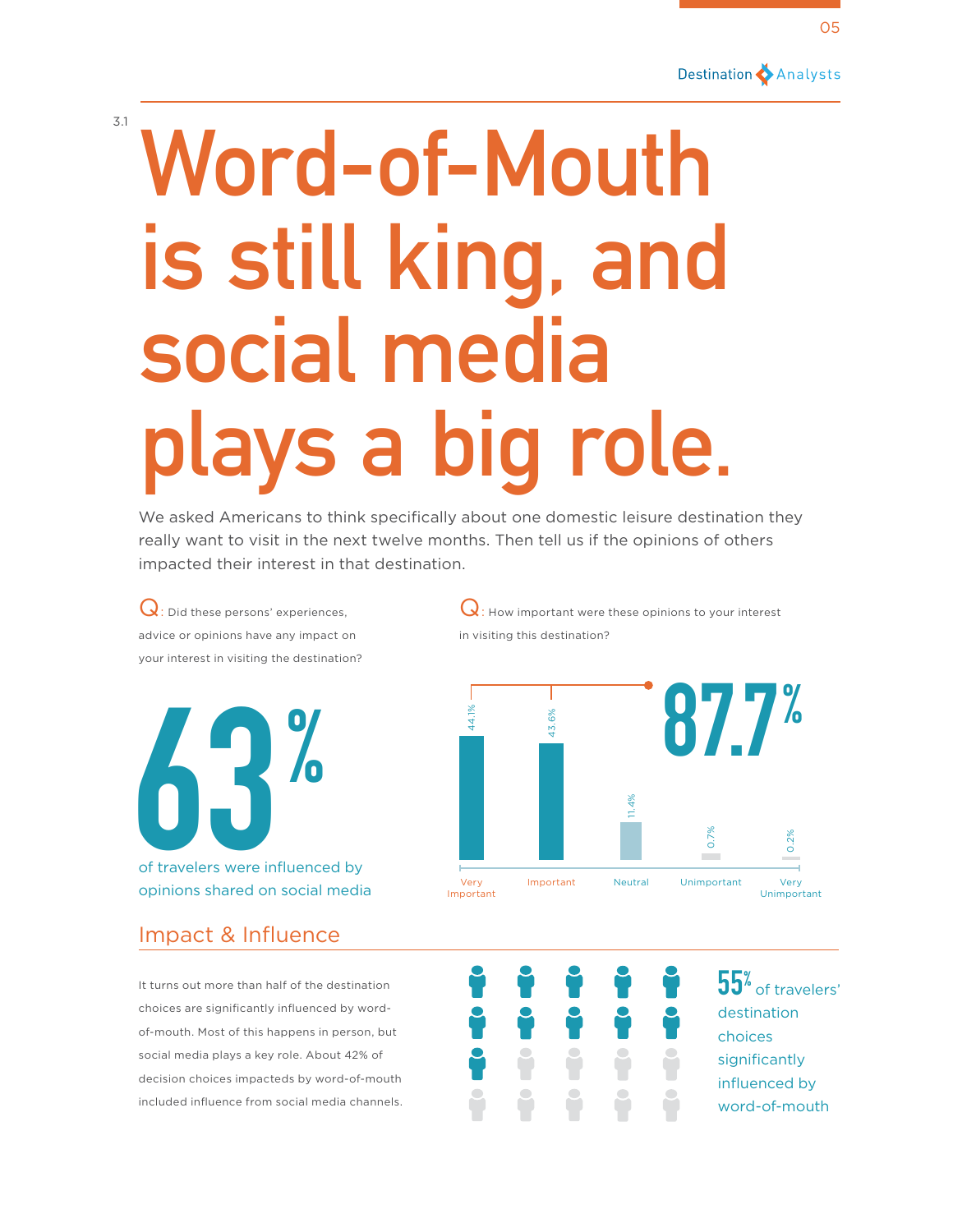Destination Analysts

# **Word-of-Mouth is still king, and social media plays a big role.**

We asked Americans to think specifically about one domestic leisure destination they really want to visit in the next twelve months. Then tell us if the opinions of others impacted their interest in that destination.

Q: Did these persons' experiences, advice or opinions have any impact on your interest in visiting the destination?

3.1

**63 and 10 and 10 and 10 and 10 and 10 and 10 and 10 and 10 and 10 and 10 and 10 and 10 and 10 and 10 and 10 and 10 and 10 and 10 and 10 and 10 and 10 and 10 and 10 and 10 and 10 and 10 and 10 and 10 and 10 and 10 and 10 a** of travelers were influenced by

opinions shared on social media

## Impact & Influence

It turns out more than half of the destination choices are significantly influenced by wordof-mouth. Most of this happens in person, but social media plays a key role. About 42% of decision choices impacteds by word-of-mouth included influence from social media channels.

 $\mathbf Q$ : How important were these opinions to your interest in visiting this destination?



**55**<sup>%</sup> of travelers' destination choices significantly influenced by word-of-mouth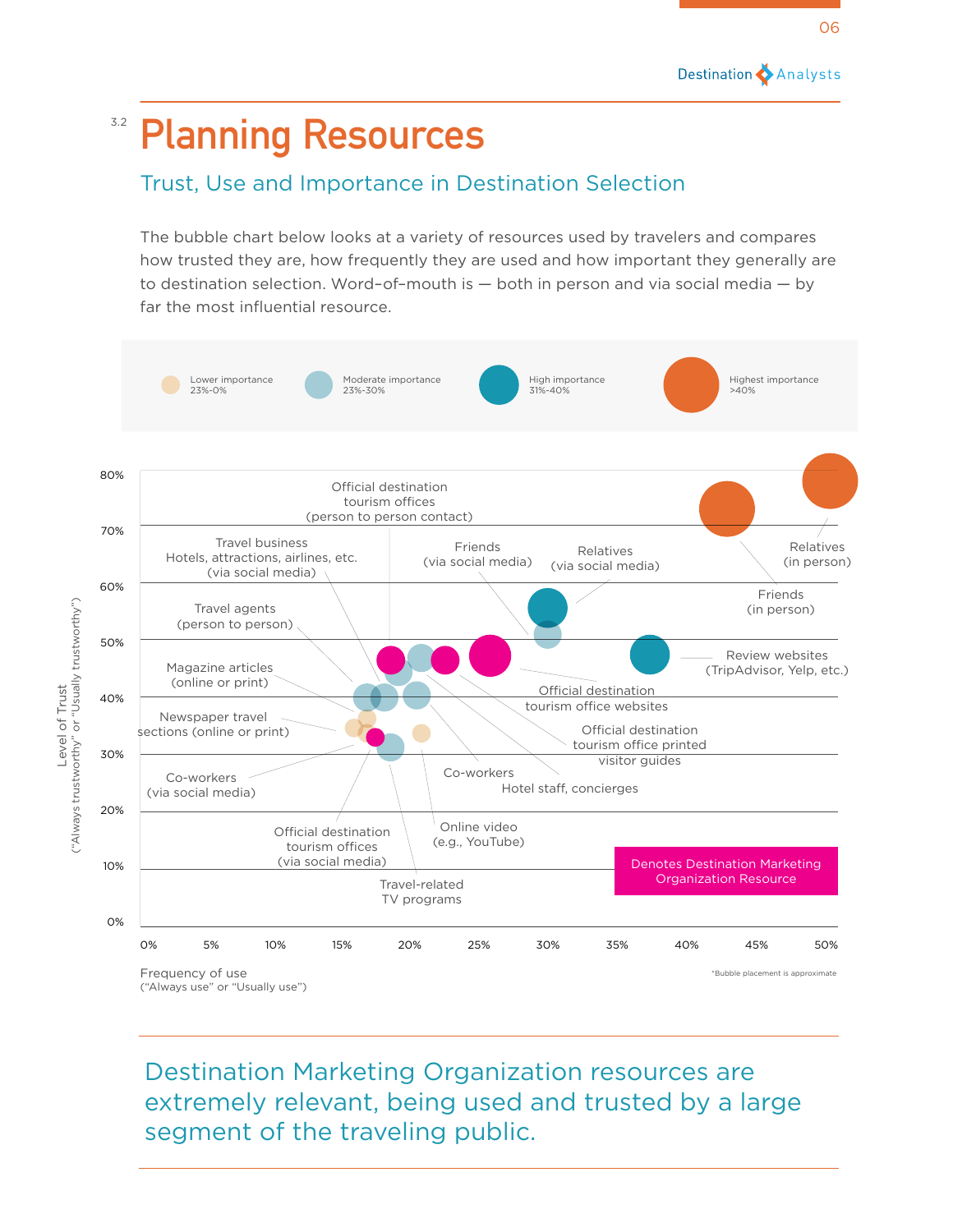## <sup>3.2</sup> Planning Resources

## Trust, Use and Importance in Destination Selection

The bubble chart below looks at a variety of resources used by travelers and compares how trusted they are, how frequently they are used and how important they generally are to destination selection. Word–of–mouth is — both in person and via social media — by far the most influential resource.



Destination Marketing Organization resources are extremely relevant, being used and trusted by a large segment of the traveling public.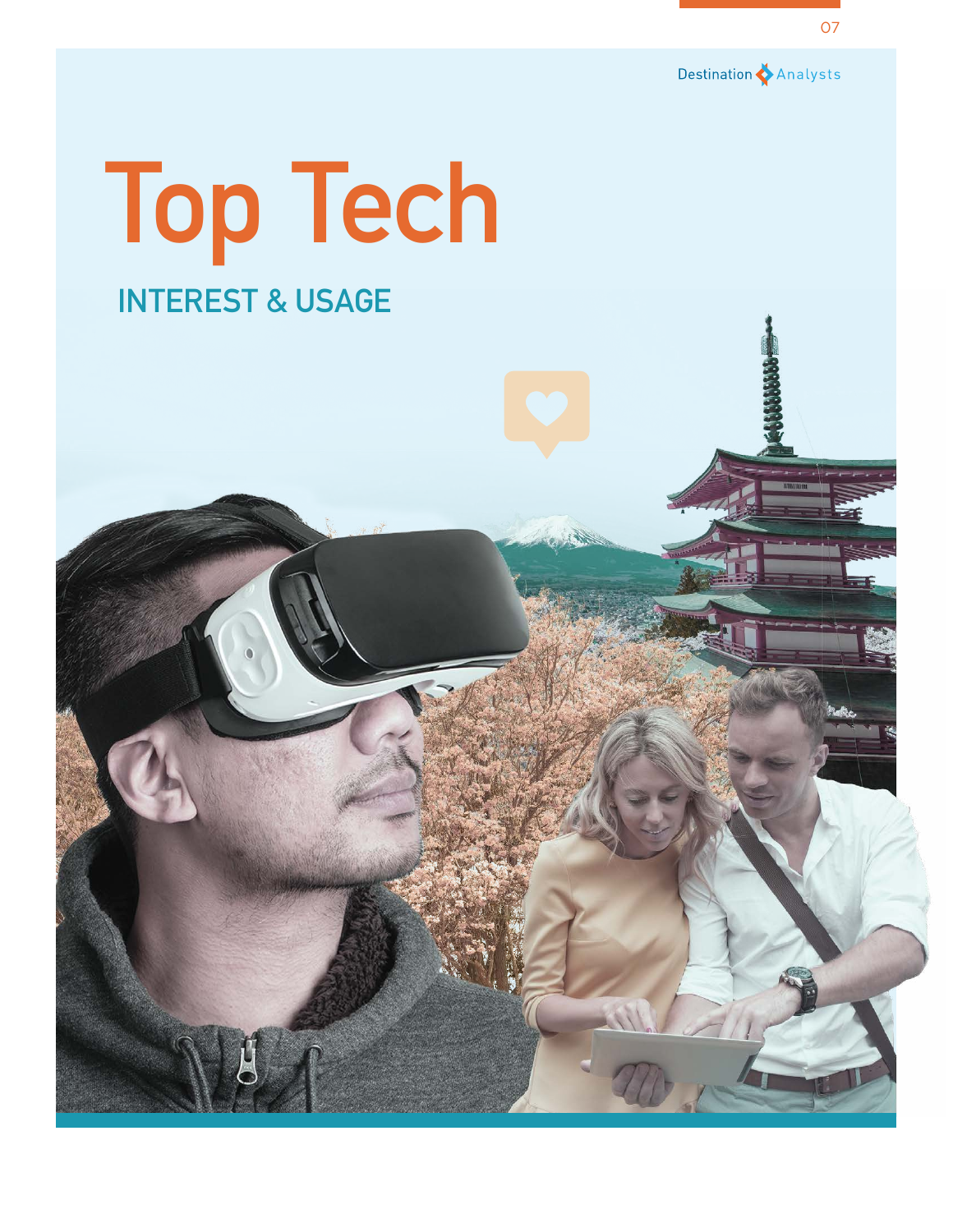

# **Top Tech INTEREST & USAGE**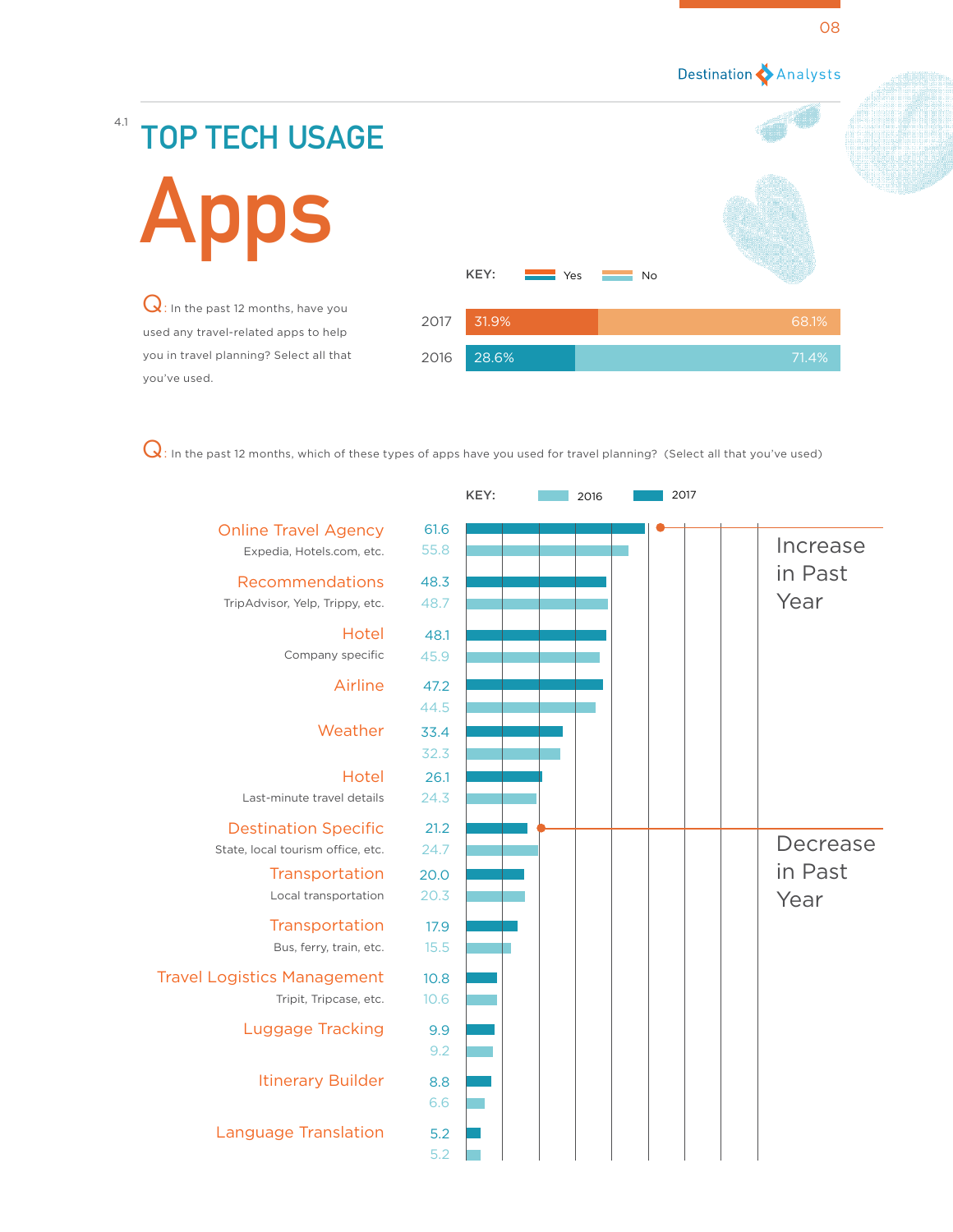# 4.1 **TOP TECH USAGE Apps** KEY:

Q: In the past 12 months, have you used any travel-related apps to help you in travel planning? Select all that you've used.



 $\bf Q$ : In the past 12 months, which of these types of apps have you used for travel planning? (Select all that you've used)

|                                                          |              | KEY: | 2016 | 2017 |          |
|----------------------------------------------------------|--------------|------|------|------|----------|
| <b>Online Travel Agency</b><br>Expedia, Hotels.com, etc. | 61.6<br>55.8 |      |      |      | Increase |
| Recommendations                                          | 48.3         |      |      |      | in Past  |
| TripAdvisor, Yelp, Trippy, etc.                          | 48.7         |      |      |      | Year     |
| Hotel                                                    | 48.1         |      |      |      |          |
| Company specific                                         | 45.9         |      |      |      |          |
| Airline                                                  | 47.2         |      |      |      |          |
|                                                          | 44.5         |      |      |      |          |
| Weather                                                  | 33.4         |      |      |      |          |
|                                                          | 32.3         |      |      |      |          |
| Hotel                                                    | 26.1         |      |      |      |          |
| Last-minute travel details                               | 24.3         |      |      |      |          |
| <b>Destination Specific</b>                              | 21.2         |      |      |      |          |
| State, local tourism office, etc.                        | 24.7         |      |      |      | Decrease |
| Transportation                                           | 20.0         |      |      |      | in Past  |
| Local transportation                                     | 20.3         |      |      |      | Year     |
| Transportation                                           | 17.9         |      |      |      |          |
| Bus, ferry, train, etc.                                  | 15.5         |      |      |      |          |
| <b>Travel Logistics Management</b>                       | 10.8         |      |      |      |          |
| Tripit, Tripcase, etc.                                   | 10.6         |      |      |      |          |
| <b>Luggage Tracking</b>                                  | 9.9          |      |      |      |          |
|                                                          | 9.2          |      |      |      |          |
| <b>Itinerary Builder</b>                                 | 8.8          |      |      |      |          |
|                                                          | 6.6          |      |      |      |          |
| <b>Language Translation</b>                              | 5.2          |      |      |      |          |
|                                                          | 5.2          |      |      |      |          |
|                                                          |              |      |      |      |          |

08

Destination Analysts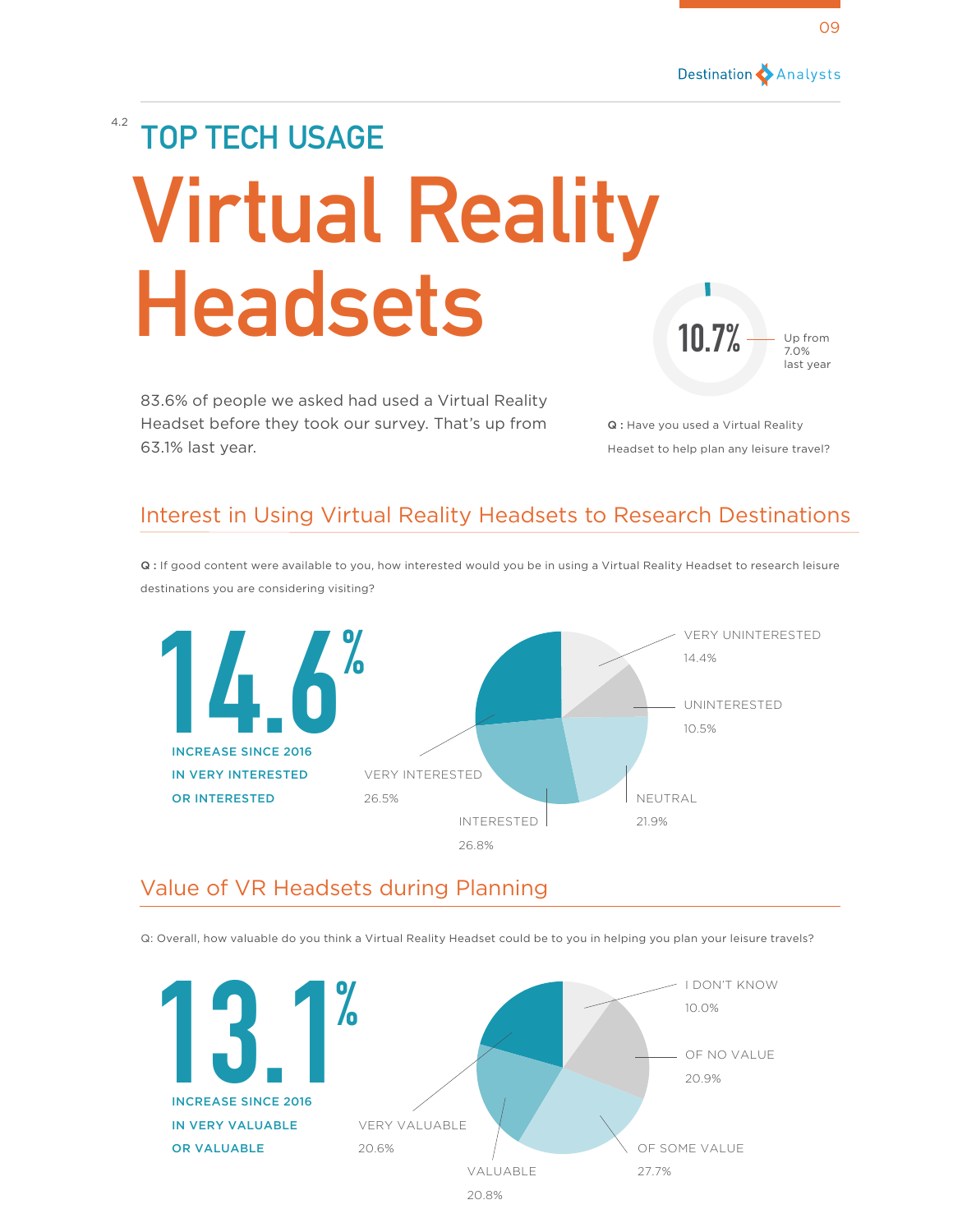

## 4.2 **TOP TECH USAGE** 10.7% Up from **Virtual Reality Headsets**

83.6% of people we asked had used a Virtual Reality Headset before they took our survey. That's up from 63.1% last year.

Q : Have you used a Virtual Reality Headset to help plan any leisure travel?

7.0% last year

## Interest in Using Virtual Reality Headsets to Research Destinations

Q : If good content were available to you, how interested would you be in using a Virtual Reality Headset to research leisure destinations you are considering visiting?



### Value of VR Headsets during Planning

Q: Overall, how valuable do you think a Virtual Reality Headset could be to you in helping you plan your leisure travels?

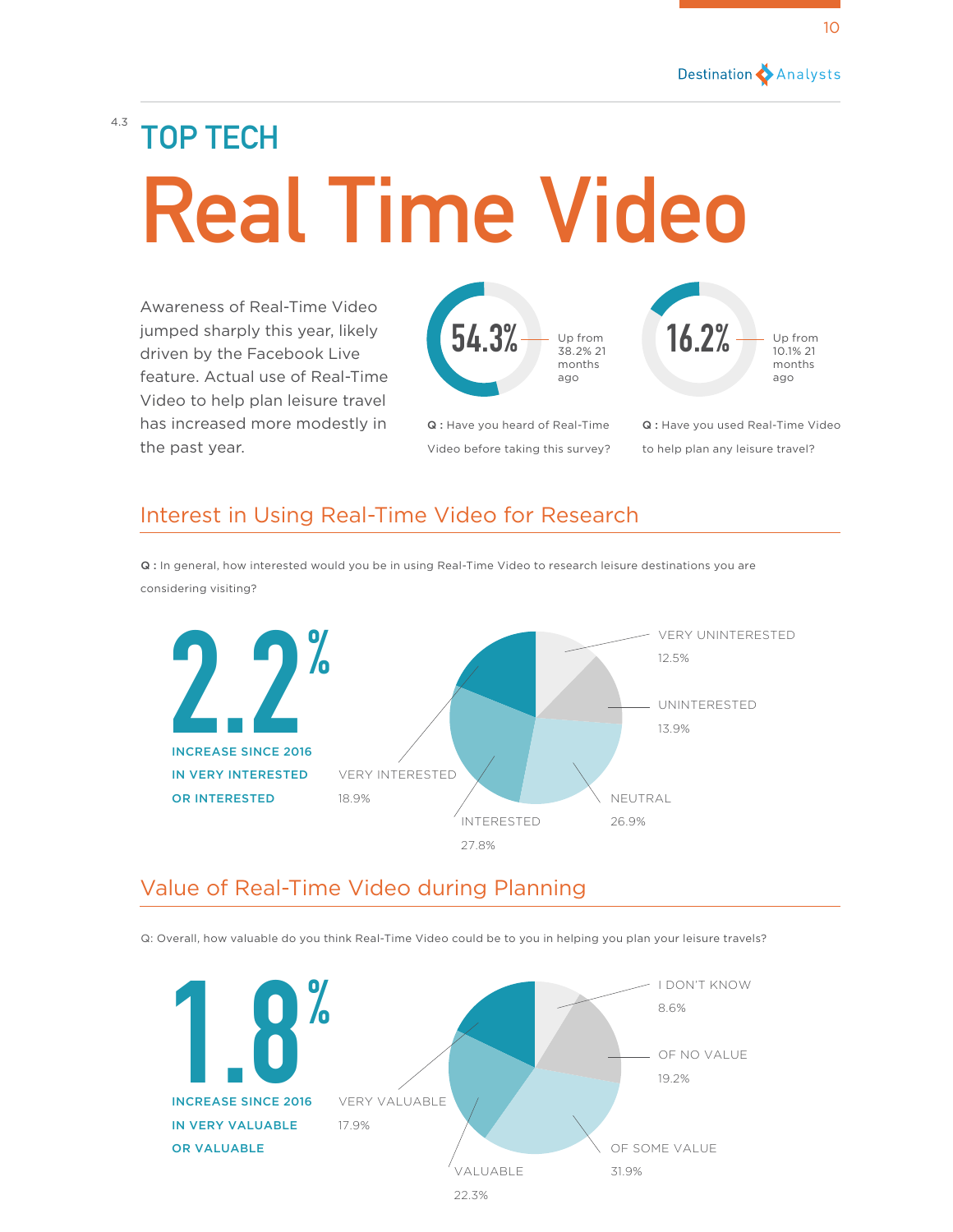# 4.3 **TOP TECH Real Time Video**

Awareness of Real-Time Video jumped sharply this year, likely driven by the Facebook Live feature. Actual use of Real-Time Video to help plan leisure travel has increased more modestly in the past year.



Q : Have you heard of Real-Time Video before taking this survey? Q : Have you used Real-Time Video to help plan any leisure travel?

## Interest in Using Real-Time Video for Research

VERY UNINTERESTED 12.5% NEUTRAL 26.9% VERY INTERESTED 18.9% UNINTERESTED 13.9% INTERESTED 27.8% **2.2 %** INCREASE SINCE 2016 IN VERY INTERESTED OR INTERESTED

Q : In general, how interested would you be in using Real-Time Video to research leisure destinations you are considering visiting?

## Value of Real-Time Video during Planning

Q: Overall, how valuable do you think Real-Time Video could be to you in helping you plan your leisure travels?

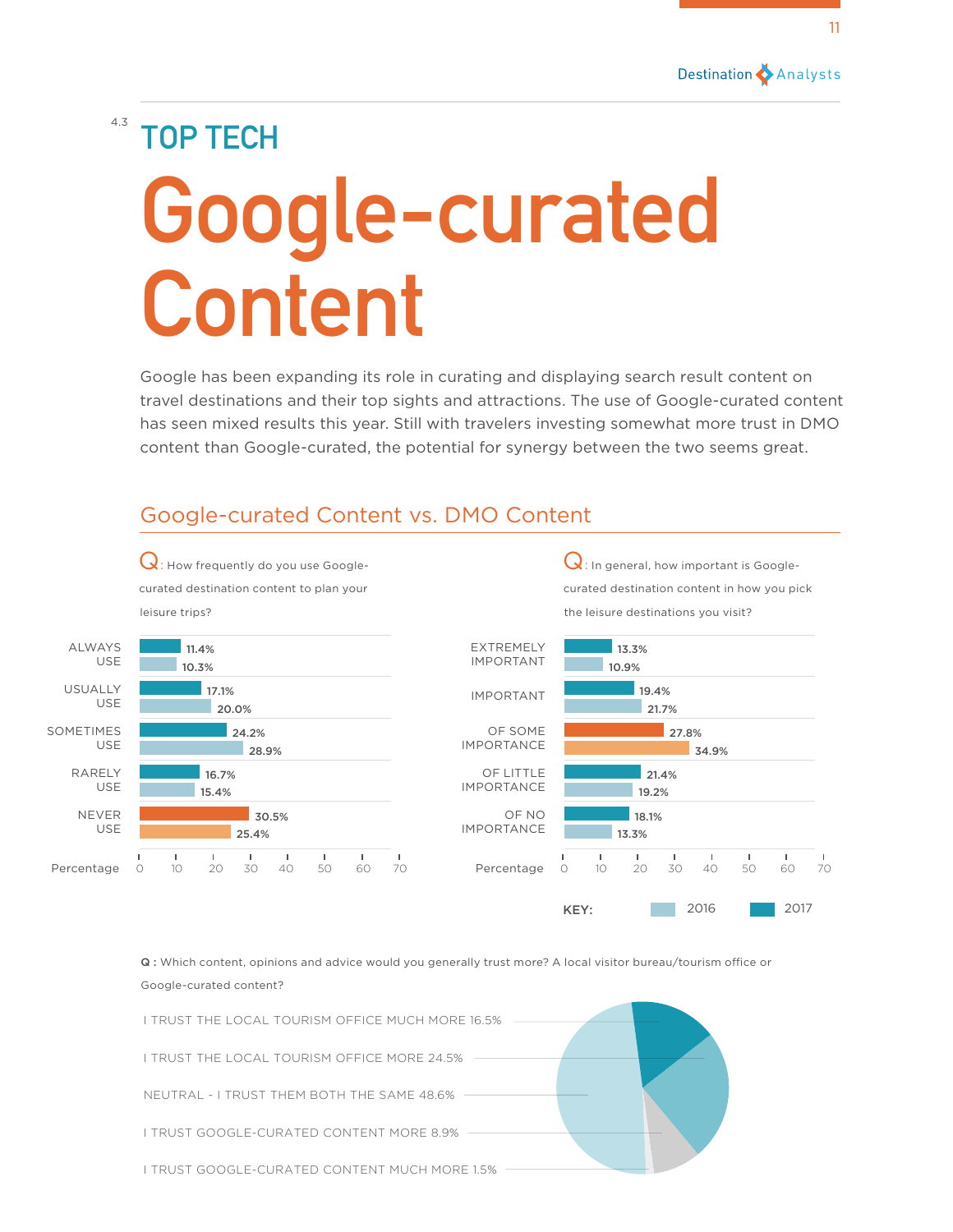

KEY: 2016 2017

# 4.3 **TOP TECH Google-curated Content**

Google has been expanding its role in curating and displaying search result content on travel destinations and their top sights and attractions. The use of Google-curated content has seen mixed results this year. Still with travelers investing somewhat more trust in DMO content than Google-curated, the potential for synergy between the two seems great.

### Google-curated Content vs. DMO Content

Q: How frequently do you use Googlecurated destination content to plan your leisure trips?  $\mathbf Q$ : In general, how important is Googlecurated destination content in how you pick the leisure destinations you visit? EXTREMELY IMPORTANT IMPORTANT OF SOME IMPORTANCE OF LITTLE IMPORTANCE OF NO IMPORTANCE 10.9% 34.9% 21.7% 19.2% 13.3% 13.3% 27.8% 19.4% 21.4% 18.1% Percentage 0 10 20 30 40 50 60 70 ALWAYS USE USUALLY USE SOMETIMES USE RARELY USE NEVER USE 10.3% 28.9% 20.0% 15.4% 25.4% 11.4% 24.2% 17.1% 16.7% 30.5% Percentage 0 10 20 30 40 50 60 70

> Q : Which content, opinions and advice would you generally trust more? A local visitor bureau/tourism office or Google-curated content?